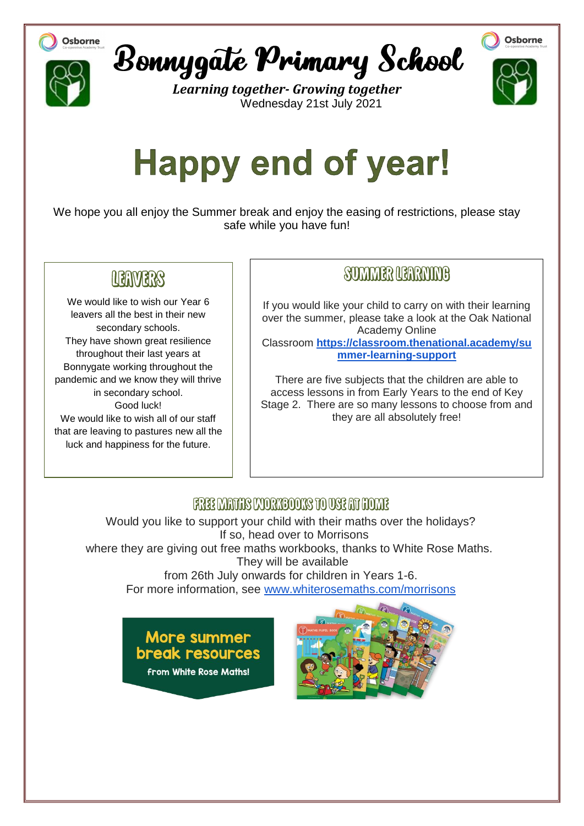





*Learning together- Growing together* Wednesday 21st July 2021



# **Happy end of year!**

We hope you all enjoy the Summer break and enjoy the easing of restrictions, please stay safe while you have fun!

## LEAVERS

We would like to wish our Year 6 leavers all the best in their new secondary schools. They have shown great resilience throughout their last years at Bonnygate working throughout the pandemic and we know they will thrive in secondary school. Good luck! We would like to wish all of our staff that are leaving to pastures new all the luck and happiness for the future.

### SUMMER NEARMME

If you would like your child to carry on with their learning over the summer, please take a look at the Oak National Academy Online Classroom **[https://classroom.thenational.academy/su](https://classroom.thenational.academy/summer-learning-support)**

**[mmer-learning-support](https://classroom.thenational.academy/summer-learning-support)**

There are five subjects that the children are able to access lessons in from Early Years to the end of Key Stage 2. There are so many lessons to choose from and they are all absolutely free!

#### FREE MATHS MORKBOOKS TO USE AT HOME

where they are giving out free maths workbooks, thanks to White Rose Maths. They will be available Would you like to support your child with their maths over the holidays? If so, head over to Morrisons

from 26th July onwards for children in Years 1-6. For more information, see [www.whiterosemaths.com/morrisons](http://www.whiterosemaths.com/morrisons)



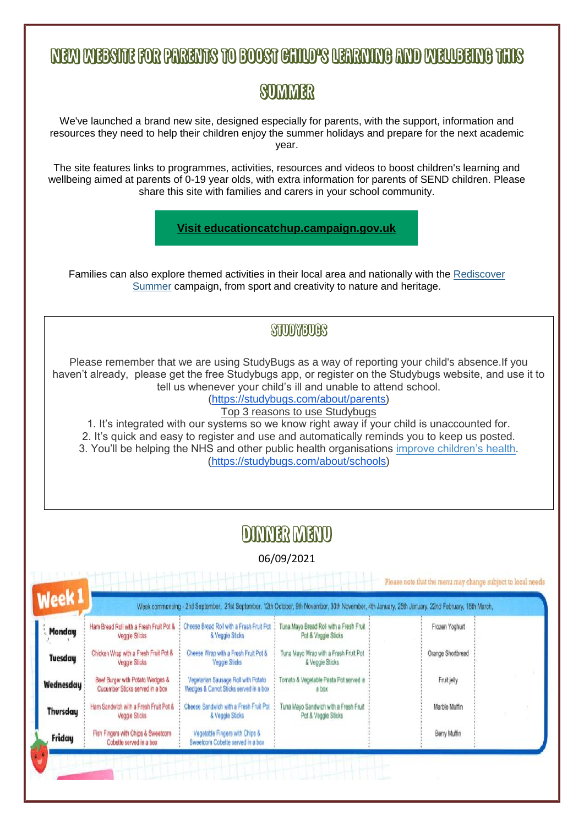## **NEW WEBSITE FOR PARENTS TO BOOST CHILD'S UZARNING AND WELLBEING THIS**

## **SUMMER**

We've launched a brand new site, designed especially for parents, with the support, information and resources they need to help their children enjoy the summer holidays and prepare for the next academic year.

The site features links to programmes, activities, resources and videos to boost children's learning and wellbeing aimed at parents of 0-19 year olds, with extra information for parents of SEND children. Please share this site with families and carers in your school community.

**[Visit educationcatchup.campaign.gov.uk](https://lnks.gd/l/eyJhbGciOiJIUzI1NiJ9.eyJidWxsZXRpbl9saW5rX2lkIjoxMDIsInVyaSI6ImJwMjpjbGljayIsImJ1bGxldGluX2lkIjoiMjAyMTA3MjAuNDM0MzYwNzEiLCJ1cmwiOiJodHRwczovL2VkdWNhdGlvbmNhdGNodXAuY2FtcGFpZ24uZ292LnVrLz91dG1fbWVkaXVtPWVtYWlsJnV0bV9zb3VyY2U9Z292ZGVsaXZlcnkifQ.rzaeEY4SgLUhoyxqK22dxfcs-ZwNV4epo8_7x_3QKBU/s/782913605/br/109588174633-l)**

Families can also explore themed activities in their local area and nationally with the [Rediscover](https://lnks.gd/l/eyJhbGciOiJIUzI1NiJ9.eyJidWxsZXRpbl9saW5rX2lkIjoxMDMsInVyaSI6ImJwMjpjbGljayIsImJ1bGxldGluX2lkIjoiMjAyMTA3MjAuNDM0MzYwNzEiLCJ1cmwiOiJodHRwczovL3d3dy5nb3YudWsvZ3VpZGFuY2UvcmVkaXNjb3Zlci1zdW1tZXI_dXRtX21lZGl1bT1lbWFpbCZ1dG1fc291cmNlPWdvdmRlbGl2ZXJ5In0.yIGi2Dk5meh0iqBYGLtVz6xEyfXnCTu77fZMn4FeUhA/s/782913605/br/109588174633-l)  [Summer](https://lnks.gd/l/eyJhbGciOiJIUzI1NiJ9.eyJidWxsZXRpbl9saW5rX2lkIjoxMDMsInVyaSI6ImJwMjpjbGljayIsImJ1bGxldGluX2lkIjoiMjAyMTA3MjAuNDM0MzYwNzEiLCJ1cmwiOiJodHRwczovL3d3dy5nb3YudWsvZ3VpZGFuY2UvcmVkaXNjb3Zlci1zdW1tZXI_dXRtX21lZGl1bT1lbWFpbCZ1dG1fc291cmNlPWdvdmRlbGl2ZXJ5In0.yIGi2Dk5meh0iqBYGLtVz6xEyfXnCTu77fZMn4FeUhA/s/782913605/br/109588174633-l) campaign, from sport and creativity to nature and heritage.

#### STUDYBURS

Please remember that we are using StudyBugs as a way of reporting your child's absence.If you haven't already, please get the free Studybugs app, or register on the Studybugs website, and use it to tell us whenever your child's ill and unable to attend school.

[\(https://studybugs.com/about/parents\)](https://studybugs.com/about/parents)

Top 3 reasons to use Studybugs

1. It's integrated with our systems so we know right away if your child is unaccounted for. 2. It's quick and easy to register and use and automatically reminds you to keep us posted. 3. You'll be helping the NHS and other public health organisations [improve children's health.](https://studybugs.com/about/schools) [\(https://studybugs.com/about/schools\)](https://studybugs.com/about/schools)

## **DINNER MENO**

06/09/2021

Please note that the menu may change subject to local needs

| <b>Week1</b><br>Monday | Ham Bread Roll with a Fresh Fruit Pot &<br>Veggie Sticks            | Cheese Bread Roll with a Fresh Fruit Pot<br>& Veggie Sticks                   | Tuna Mayo Bread Roll with a Fresh Fruit<br>Pot & Veggie Sticks | Week commencing - 2nd September, 21st September, 12th October, 9th November, 30th November, 4th January, 25th January, 22nd February, 15th March,<br>Frozen Yoghurt |  |
|------------------------|---------------------------------------------------------------------|-------------------------------------------------------------------------------|----------------------------------------------------------------|---------------------------------------------------------------------------------------------------------------------------------------------------------------------|--|
| <b>Tuesday</b>         | Chicken Wrap with a Fresh Fruit Pot &<br>Veggie Sticks              | Cheese Wrap with a Fresh Fruit Pot &<br>Veggie Sticks                         | Tuna Mayo Wrap with a Fresh Fruit Pot<br>& Veggie Sticks       | Orange Shortbread                                                                                                                                                   |  |
| <b>Wednesday</b>       | Beef Burger with Potato Wedges &<br>Cucumber Sticks served in a box | Vegetarian Sausage Roll with Potato<br>Wedges & Carrot Sticks served in a box | Tomato & Vegetable Pasta Pot served in<br>a box                | Fruit jelly                                                                                                                                                         |  |
| <b>Thursday</b>        | Ham Sandwich with a Fresh Fruit Pot &<br>Veggie Sticks              | Cheese Sandwich with a Fresh Fruit Pot<br>& Veggie Sticks                     | Tuna Mayo Sandwich with a Fresh Fruit<br>Pot & Veggie Sticks   | Marble Muffin                                                                                                                                                       |  |
| Friday                 | Fish Fingers with Chips & Sweetcorn<br>Cobette served in a box      | Vegetable Fingers with Chips &<br>Sweetcom Cobette served in a box            |                                                                | Berry Muffin                                                                                                                                                        |  |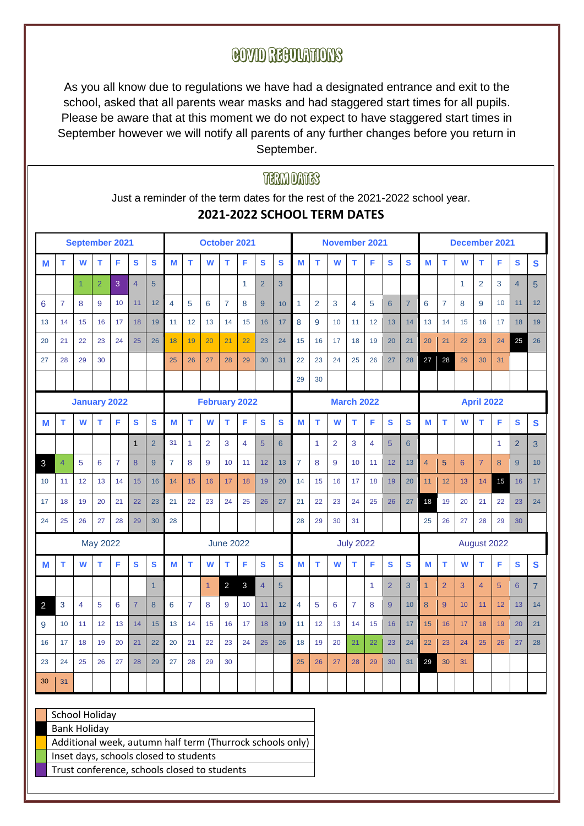## **COVID RECOUNTIONS**

As you all know due to regulations we have had a designated entrance and exit to the school, asked that all parents wear masks and had staggered start times for all pupils. Please be aware that at this moment we do not expect to have staggered start times in September however we will notify all parents of any further changes before you return in September.

## **THRAN DATES** Just a reminder of the term dates for the rest of the 2021-2022 school year. **2021-2022 SCHOOL TERM DATES September 2021 October 2021 November 2021 December 2021** M | T | W | T | F | S | S | M | T | W | T | F | S | S | M | T | W | T | F | S | S | M | T | W | T | F | S | S 1 2 3 4 5 1 2 3 1 2 3 4 5 6 7 8 9 10 11 12 4 5 6 7 8 9 10 1 2 3 4 5 6 7 6 7 8 9 10 11 12 13 | 14 | 15 | 16 | 17 | 18 | 19 | 11 | 12 | 13 | 14 | 15 | 16 | 17 | 8 | 9 | 10 | 11 | 12 | 13 | 14 | 13 | 14 | 15 | 16 | 17 | 18 | 19 20 | 21 | 22 | 23 | 24 | 25 | 26 <mark>| 18 | 19 | 20 | 21 | 22 |</mark> 23 | 24 | 15 | 16 | 17 | 18 | 19 | 20 | 21 | 20 | 21 | 22 | 23 | 24 | 25 | 26 27 28 29 30 25 26 27 28 29 30 31 22 23 24 25 26 27 28 27 28 29 30 31 26 29 30 **January 2022 February 2022 March 2022 April 2022** M | T | W | T | F | S | S | M | T | W | T | F | S | S | M | T | W | T | F | S | S | M | T | W | T | F | S | S 1 2 31 1 2 3 4 5 6 1 2 3 4 5 6 1 2 3 4 5 6 1 1 2 3 3 4 5 6 7 8 9 7 8 9 10 11 12 13 7 8 9 10 11 12 13 4 5 6 7 8 9 10 10 | 11 | 12 | 13 | 14 | 15 | 16 | 14 | 15 | 16 | 17 | 18 | 19 | 20 | 14 | 15 | 16 | 17 | 18 | 19 | 20 <mark>| 11 | 12 | 13 | 14 | 15</mark> | 16 | 17 17 18 19 20 21 22 23 21 22 23 24 25 26 27 21 22 23 24 25 26 27 18 19 20 21 22 23 24 24 25 26 27 28 29 30 28 28 29 30 31 25 26 27 28 29 30 May 2022 June 2022 July 2022 August 2022 M | T | W | T | F | S | S | M | T | W | T | F | S | S | M | T | W | T | F | S | S | M | T | W | T | F | S | S 1 1 2 3 4 5 1 2 3 1 2 3 4 5 6 7 2 3 4 5 6 7 8 6 7 8 9 10 11 12 4 5 6 7 8 9 10 8 9 10 11 12 13 14 9 | 10 | 11 | 12 | 13 | 14 | 15 | 13 | 14 | 15 | 16 | 17 | 18 | 19 | 11 | 12 | 13 | 14 | 15 | 16 | 17 | 15 | 16 | 17 | 18 | 19 | 20 | 21 16 17 18 19 20 21 22 20 21 22 23 24 25 26 18 19 20 21 22 23 24 22 23 24 25 26 27 28 23 | 24 | 25 | 26 | 27 | 28 | 29 | 27 | 28 | 29 | 30 | | | | 25 | 26 | 27 | 28 | 29 | 30 | 31 | 29 | 30 | 31  $30 \mid 31$

Additional week, autumn half term (Thurrock schools only) Inset days, schools closed to students

School Holiday Bank Holiday

Trust conference, schools closed to students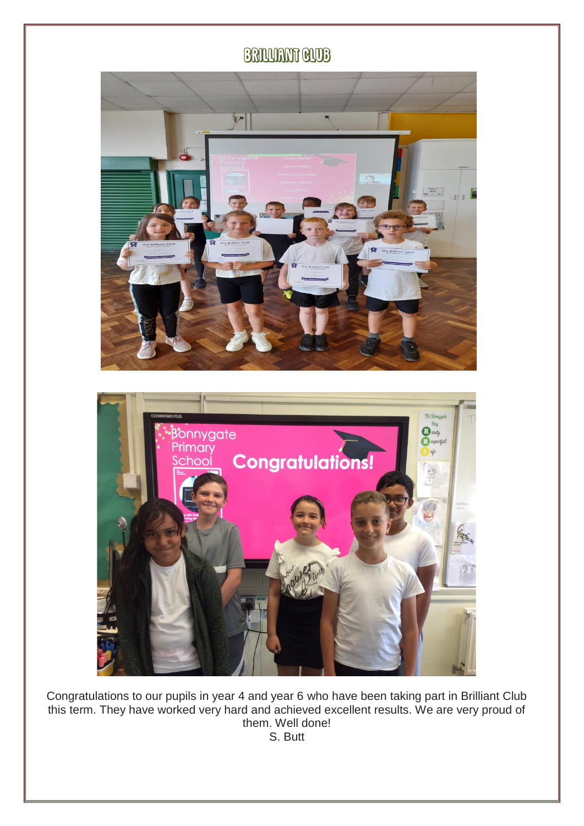## **BRILLIANT GLUB**





Congratulations to our pupils in year 4 and year 6 who have been taking part in Brilliant Club this term. They have worked very hard and achieved excellent results. We are very proud of them. Well done! S. Butt